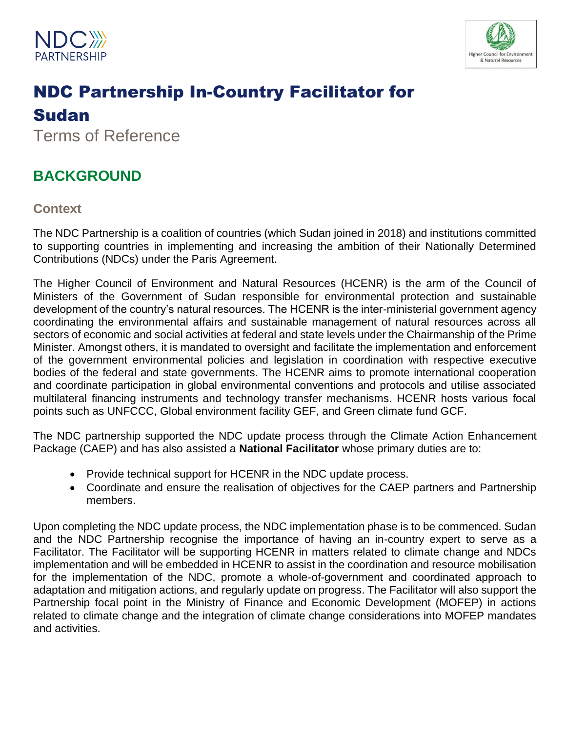



# NDC Partnership In-Country Facilitator for Sudan

Terms of Reference

## **BACKGROUND**

**Context**

The NDC Partnership is a coalition of countries (which Sudan joined in 2018) and institutions committed to supporting countries in implementing and increasing the ambition of their Nationally Determined Contributions (NDCs) under the Paris Agreement.

The Higher Council of Environment and Natural Resources (HCENR) is the arm of the Council of Ministers of the Government of Sudan responsible for environmental protection and sustainable development of the country's natural resources. The HCENR is the inter-ministerial government agency coordinating the environmental affairs and sustainable management of natural resources across all sectors of economic and social activities at federal and state levels under the Chairmanship of the Prime Minister. Amongst others, it is mandated to oversight and facilitate the implementation and enforcement of the government environmental policies and legislation in coordination with respective executive bodies of the federal and state governments. The HCENR aims to promote international cooperation and coordinate participation in global environmental conventions and protocols and utilise associated multilateral financing instruments and technology transfer mechanisms. HCENR hosts various focal points such as UNFCCC, Global environment facility GEF, and Green climate fund GCF.

The NDC partnership supported the NDC update process through the Climate Action Enhancement Package (CAEP) and has also assisted a **National Facilitator** whose primary duties are to:

- Provide technical support for HCENR in the NDC update process.
- Coordinate and ensure the realisation of objectives for the CAEP partners and Partnership members.

Upon completing the NDC update process, the NDC implementation phase is to be commenced. Sudan and the NDC Partnership recognise the importance of having an in-country expert to serve as a Facilitator. The Facilitator will be supporting HCENR in matters related to climate change and NDCs implementation and will be embedded in HCENR to assist in the coordination and resource mobilisation for the implementation of the NDC, promote a whole-of-government and coordinated approach to adaptation and mitigation actions, and regularly update on progress. The Facilitator will also support the Partnership focal point in the Ministry of Finance and Economic Development (MOFEP) in actions related to climate change and the integration of climate change considerations into MOFEP mandates and activities.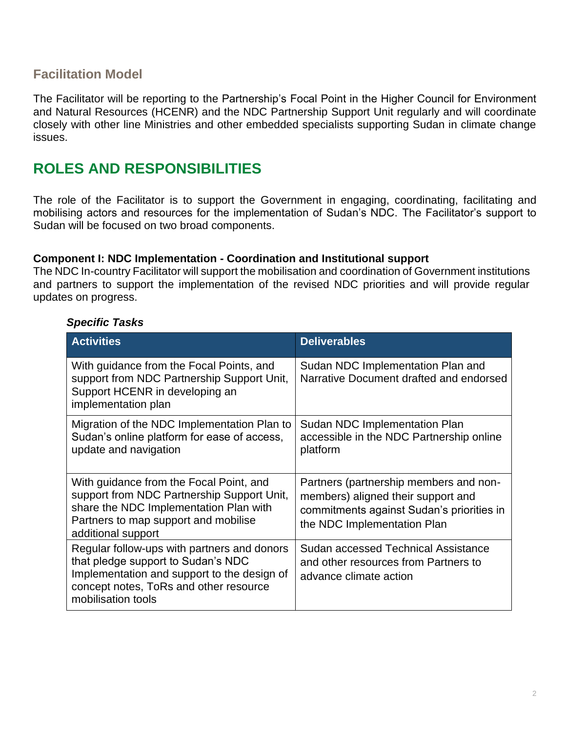## **Facilitation Model**

The Facilitator will be reporting to the Partnership's Focal Point in the Higher Council for Environment and Natural Resources (HCENR) and the NDC Partnership Support Unit regularly and will coordinate closely with other line Ministries and other embedded specialists supporting Sudan in climate change issues.

## **ROLES AND RESPONSIBILITIES**

The role of the Facilitator is to support the Government in engaging, coordinating, facilitating and mobilising actors and resources for the implementation of Sudan's NDC. The Facilitator's support to Sudan will be focused on two broad components.

#### **Component I: NDC Implementation - Coordination and Institutional support**

The NDC In-country Facilitator will support the mobilisation and coordination of Government institutions and partners to support the implementation of the revised NDC priorities and will provide regular updates on progress.

| <b>Specific Tasks</b> |  |
|-----------------------|--|
|-----------------------|--|

| <b>Activities</b>                                                                                                                                                                                | <b>Deliverables</b>                                                                                                                                      |
|--------------------------------------------------------------------------------------------------------------------------------------------------------------------------------------------------|----------------------------------------------------------------------------------------------------------------------------------------------------------|
| With guidance from the Focal Points, and<br>support from NDC Partnership Support Unit,<br>Support HCENR in developing an<br>implementation plan                                                  | Sudan NDC Implementation Plan and<br>Narrative Document drafted and endorsed                                                                             |
| Migration of the NDC Implementation Plan to<br>Sudan's online platform for ease of access,<br>update and navigation                                                                              | Sudan NDC Implementation Plan<br>accessible in the NDC Partnership online<br>platform                                                                    |
| With guidance from the Focal Point, and<br>support from NDC Partnership Support Unit,<br>share the NDC Implementation Plan with<br>Partners to map support and mobilise<br>additional support    | Partners (partnership members and non-<br>members) aligned their support and<br>commitments against Sudan's priorities in<br>the NDC Implementation Plan |
| Regular follow-ups with partners and donors<br>that pledge support to Sudan's NDC<br>Implementation and support to the design of<br>concept notes, ToRs and other resource<br>mobilisation tools | Sudan accessed Technical Assistance<br>and other resources from Partners to<br>advance climate action                                                    |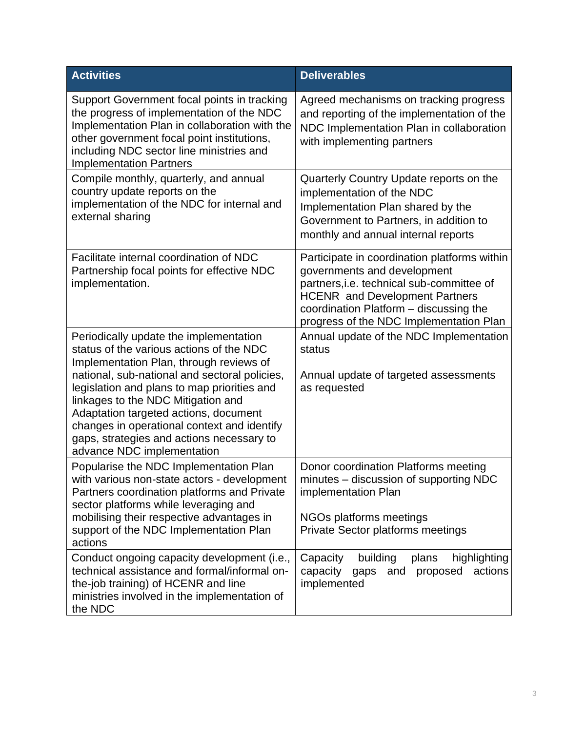| <b>Activities</b>                                                                                                                                                                                                                                                                                                                                                                                                                      | <b>Deliverables</b>                                                                                                                                                                                                                                    |
|----------------------------------------------------------------------------------------------------------------------------------------------------------------------------------------------------------------------------------------------------------------------------------------------------------------------------------------------------------------------------------------------------------------------------------------|--------------------------------------------------------------------------------------------------------------------------------------------------------------------------------------------------------------------------------------------------------|
| Support Government focal points in tracking<br>the progress of implementation of the NDC<br>Implementation Plan in collaboration with the<br>other government focal point institutions,<br>including NDC sector line ministries and<br><b>Implementation Partners</b>                                                                                                                                                                  | Agreed mechanisms on tracking progress<br>and reporting of the implementation of the<br>NDC Implementation Plan in collaboration<br>with implementing partners                                                                                         |
| Compile monthly, quarterly, and annual<br>country update reports on the<br>implementation of the NDC for internal and<br>external sharing                                                                                                                                                                                                                                                                                              | Quarterly Country Update reports on the<br>implementation of the NDC<br>Implementation Plan shared by the<br>Government to Partners, in addition to<br>monthly and annual internal reports                                                             |
| Facilitate internal coordination of NDC<br>Partnership focal points for effective NDC<br>implementation.                                                                                                                                                                                                                                                                                                                               | Participate in coordination platforms within<br>governments and development<br>partners, i.e. technical sub-committee of<br><b>HCENR</b> and Development Partners<br>coordination Platform - discussing the<br>progress of the NDC Implementation Plan |
| Periodically update the implementation<br>status of the various actions of the NDC<br>Implementation Plan, through reviews of<br>national, sub-national and sectoral policies,<br>legislation and plans to map priorities and<br>linkages to the NDC Mitigation and<br>Adaptation targeted actions, document<br>changes in operational context and identify<br>gaps, strategies and actions necessary to<br>advance NDC implementation | Annual update of the NDC Implementation<br>status<br>Annual update of targeted assessments<br>as requested                                                                                                                                             |
| Popularise the NDC Implementation Plan<br>with various non-state actors - development<br>Partners coordination platforms and Private<br>sector platforms while leveraging and<br>mobilising their respective advantages in<br>support of the NDC Implementation Plan<br>actions                                                                                                                                                        | Donor coordination Platforms meeting<br>minutes – discussion of supporting NDC<br>implementation Plan<br>NGOs platforms meetings<br>Private Sector platforms meetings                                                                                  |
| Conduct ongoing capacity development (i.e.,<br>technical assistance and formal/informal on-<br>the-job training) of HCENR and line<br>ministries involved in the implementation of<br>the NDC                                                                                                                                                                                                                                          | Capacity<br>building<br>highlighting<br>plans<br>capacity<br>proposed<br>actions<br>gaps<br>and<br>implemented                                                                                                                                         |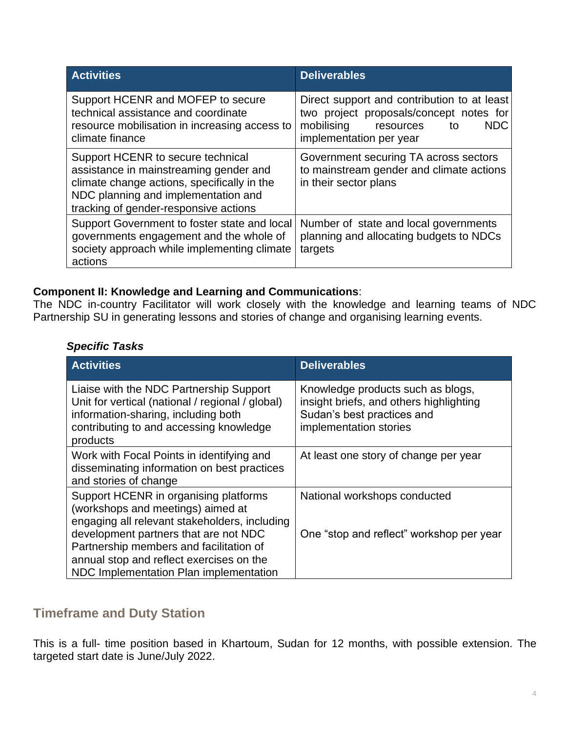| <b>Activities</b>                                                                                                                                                                                          | <b>Deliverables</b>                                                                                                                                    |
|------------------------------------------------------------------------------------------------------------------------------------------------------------------------------------------------------------|--------------------------------------------------------------------------------------------------------------------------------------------------------|
| Support HCENR and MOFEP to secure<br>technical assistance and coordinate<br>resource mobilisation in increasing access to<br>climate finance                                                               | Direct support and contribution to at least<br>two project proposals/concept notes for<br>mobilising resources<br>NDC<br>to<br>implementation per year |
| Support HCENR to secure technical<br>assistance in mainstreaming gender and<br>climate change actions, specifically in the<br>NDC planning and implementation and<br>tracking of gender-responsive actions | Government securing TA across sectors<br>to mainstream gender and climate actions<br>in their sector plans                                             |
| Support Government to foster state and local<br>governments engagement and the whole of<br>society approach while implementing climate<br>actions                                                          | Number of state and local governments<br>planning and allocating budgets to NDCs<br>targets                                                            |

### **Component II: Knowledge and Learning and Communications**:

The NDC in-country Facilitator will work closely with the knowledge and learning teams of NDC Partnership SU in generating lessons and stories of change and organising learning events.

#### *Specific Tasks*

| <b>Activities</b>                                                                                                                                                                                                                                                                                     | <b>Deliverables</b>                                                                                                                  |
|-------------------------------------------------------------------------------------------------------------------------------------------------------------------------------------------------------------------------------------------------------------------------------------------------------|--------------------------------------------------------------------------------------------------------------------------------------|
| Liaise with the NDC Partnership Support<br>Unit for vertical (national / regional / global)<br>information-sharing, including both<br>contributing to and accessing knowledge<br>products                                                                                                             | Knowledge products such as blogs,<br>insight briefs, and others highlighting<br>Sudan's best practices and<br>implementation stories |
| Work with Focal Points in identifying and<br>disseminating information on best practices<br>and stories of change                                                                                                                                                                                     | At least one story of change per year                                                                                                |
| Support HCENR in organising platforms<br>(workshops and meetings) aimed at<br>engaging all relevant stakeholders, including<br>development partners that are not NDC<br>Partnership members and facilitation of<br>annual stop and reflect exercises on the<br>NDC Implementation Plan implementation | National workshops conducted<br>One "stop and reflect" workshop per year                                                             |

## **Timeframe and Duty Station**

This is a full- time position based in Khartoum, Sudan for 12 months, with possible extension. The targeted start date is June/July 2022.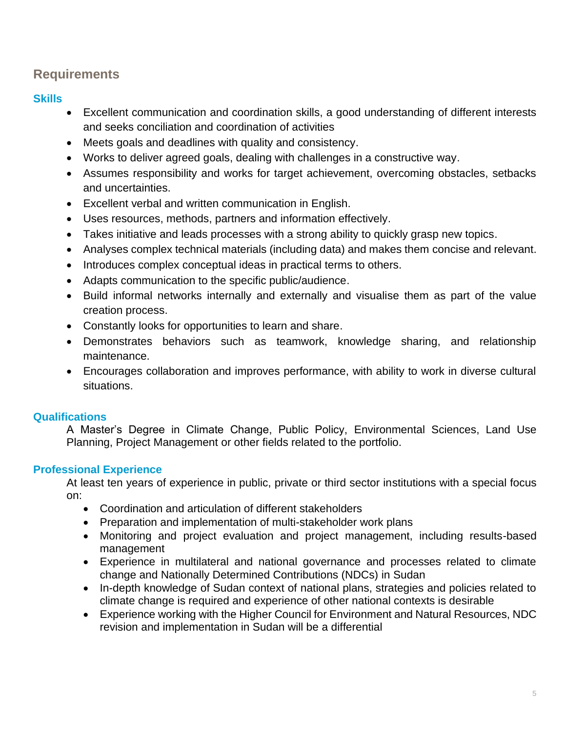## **Requirements**

### **Skills**

- Excellent communication and coordination skills, a good understanding of different interests and seeks conciliation and coordination of activities
- Meets goals and deadlines with quality and consistency.
- Works to deliver agreed goals, dealing with challenges in a constructive way.
- Assumes responsibility and works for target achievement, overcoming obstacles, setbacks and uncertainties.
- Excellent verbal and written communication in English.
- Uses resources, methods, partners and information effectively.
- Takes initiative and leads processes with a strong ability to quickly grasp new topics.
- Analyses complex technical materials (including data) and makes them concise and relevant.
- Introduces complex conceptual ideas in practical terms to others.
- Adapts communication to the specific public/audience.
- Build informal networks internally and externally and visualise them as part of the value creation process.
- Constantly looks for opportunities to learn and share.
- Demonstrates behaviors such as teamwork, knowledge sharing, and relationship maintenance.
- Encourages collaboration and improves performance, with ability to work in diverse cultural situations.

## **Qualifications**

A Master's Degree in Climate Change, Public Policy, Environmental Sciences, Land Use Planning, Project Management or other fields related to the portfolio.

## **Professional Experience**

At least ten years of experience in public, private or third sector institutions with a special focus on:

- Coordination and articulation of different stakeholders
- Preparation and implementation of multi-stakeholder work plans
- Monitoring and project evaluation and project management, including results-based management
- Experience in multilateral and national governance and processes related to climate change and Nationally Determined Contributions (NDCs) in Sudan
- In-depth knowledge of Sudan context of national plans, strategies and policies related to climate change is required and experience of other national contexts is desirable
- Experience working with the Higher Council for Environment and Natural Resources, NDC revision and implementation in Sudan will be a differential